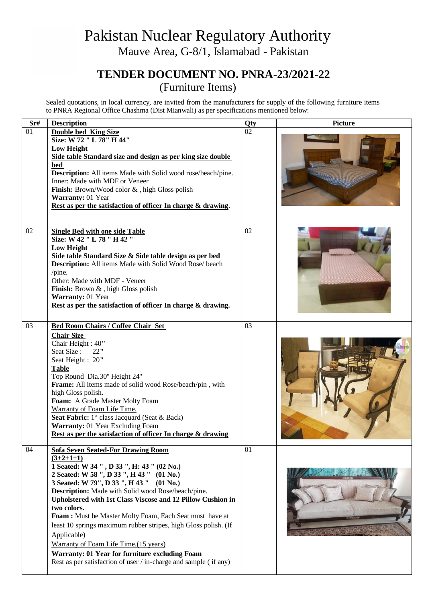## Pakistan Nuclear Regulatory Authority Mauve Area, G-8/1, Islamabad - Pakistan

## **TENDER DOCUMENT NO. PNRA-23/2021-22** (Furniture Items)

Sealed quotations, in local currency, are invited from the manufacturers for supply of the following furniture items to PNRA Regional Office Chashma (Dist Mianwali) as per specifications mentioned below:

| Sr# | <b>Description</b>                                                                                                                                                                                                                                                                                                                                                                                                                                                                                                                                                                                                                            | Qty | <b>Picture</b> |
|-----|-----------------------------------------------------------------------------------------------------------------------------------------------------------------------------------------------------------------------------------------------------------------------------------------------------------------------------------------------------------------------------------------------------------------------------------------------------------------------------------------------------------------------------------------------------------------------------------------------------------------------------------------------|-----|----------------|
| 01  | <b>Double bed King Size</b><br>Size: W 72 " L 78" H 44"<br><b>Low Height</b><br>Side table Standard size and design as per king size double<br>bed<br>Description: All items Made with Solid wood rose/beach/pine.<br>Inner: Made with MDF or Veneer<br>Finish: Brown/Wood color &, high Gloss polish<br>Warranty: 01 Year<br>Rest as per the satisfaction of officer In charge & drawing.                                                                                                                                                                                                                                                    | 02  |                |
| 02  | <b>Single Bed with one side Table</b><br>Size: W 42 " L 78 " H 42 "<br><b>Low Height</b><br>Side table Standard Size & Side table design as per bed<br>Description: All items Made with Solid Wood Rose/ beach<br>$/$ pine.<br>Other: Made with MDF - Veneer<br>Finish: Brown &, high Gloss polish<br>Warranty: 01 Year<br>Rest as per the satisfaction of officer In charge & drawing.                                                                                                                                                                                                                                                       | 02  |                |
| 03  | <b>Bed Room Chairs / Coffee Chair Set</b><br><b>Chair Size</b><br>Chair Height: 40"<br>Seat Size:<br>22"<br>Seat Height: 20"<br><b>Table</b><br>Top Round Dia.30" Height 24"<br>Frame: All items made of solid wood Rose/beach/pin, with<br>high Gloss polish.<br>Foam: A Grade Master Molty Foam<br>Warranty of Foam Life Time.<br>Seat Fabric: 1 <sup>st</sup> class Jacquard (Seat & Back)<br>Warranty: 01 Year Excluding Foam<br>Rest as per the satisfaction of officer In charge & drawing                                                                                                                                              | 03  |                |
| 04  | <b>Sofa Seven Seated-For Drawing Room</b><br>$(3+2+1+1)$<br>1 Seated: W 34 ", D 33 ", H: 43 " (02 No.)<br>2 Seated: W 58 ", D 33 ", H 43 " (01 No.)<br>3 Seated: W 79", D 33", H 43" (01 No.)<br>Description: Made with Solid wood Rose/beach/pine.<br>Upholstered with 1st Class Viscose and 12 Pillow Cushion in<br>two colors.<br>Foam: Must be Master Molty Foam, Each Seat must have at<br>least 10 springs maximum rubber stripes, high Gloss polish. (If<br>Applicable)<br>Warranty of Foam Life Time.(15 years)<br>Warranty: 01 Year for furniture excluding Foam<br>Rest as per satisfaction of user / in-charge and sample (if any) | 01  |                |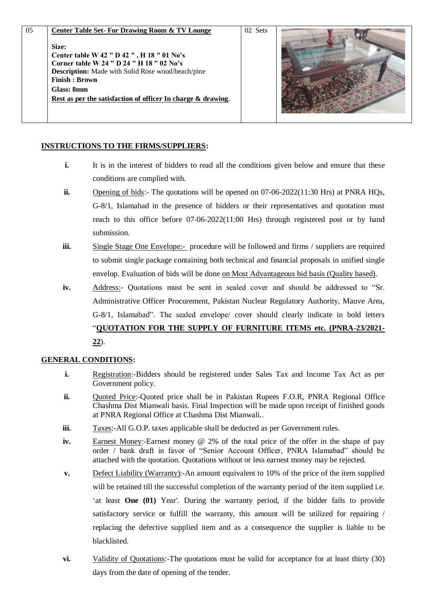| 05 | <b>Center Table Set-For Drawing Room &amp; TV Lounge</b><br>Size:<br>Center table W 42 " D 42 ", H 18 " 01 No's<br>Corner table W 24 " D 24 " H 18 " 02 No's<br><b>Description:</b> Made with Solid Rose wood/beach/pine<br><b>Finish: Brown</b><br>Glass: 8mm<br>Rest as per the satisfaction of officer In charge & drawing. | 02 Sets |  |
|----|--------------------------------------------------------------------------------------------------------------------------------------------------------------------------------------------------------------------------------------------------------------------------------------------------------------------------------|---------|--|

## **INSTRUCTIONS TO THE FIRMS/SUPPLIERS:**

- **i.** It is in the interest of bidders to read all the conditions given below and ensure that these conditions are complied with.
- **ii.** Opening of bids:- The quotations will be opened on 07-06-2022(11:30 Hrs) at PNRA HOs, G-8/1, Islamabad in the presence of bidders or their representatives and quotation must reach to this office before 07-06-2022(11:00 Hrs) through registered post or by hand submission.
- **iii.** Single Stage One Envelope:- procedure will be followed and firms / suppliers are required to submit single package containing both technical and financial proposals in unified single envelop. Evaluation of bids will be done on Most Advantageous bid basis (Quality based).
- **iv.** Address:- Quotations must be sent in sealed cover and should be addressed to "Sr. Administrative Officer Procurement, Pakistan Nuclear Regulatory Authority, Mauve Area, G-8/1, Islamabad". The sealed envelope/ cover should clearly indicate in bold letters "**QUOTATION FOR THE SUPPLY OF FURNITURE ITEMS etc. (PNRA-23/2021- 22**).

## **GENERAL CONDITIONS:**

- **i.** Registration:-Bidders should be registered under Sales Tax and Income Tax Act as per Government policy.
- **ii.** Ouoted Price:-Quoted price shall be in Pakistan Rupees F.O.R, PNRA Regional Office Chashma Dist Mianwali basis. Final Inspection will be made upon receipt of finished goods at PNRA Regional Office at Chashma Dist Mianwali..
- **iii.** Taxes:-All G.O.P. taxes applicable shall be deducted as per Government rules.
- **iv.** Earnest Money:-Earnest money @ 2% of the total price of the offer in the shape of pay order / bank draft in favor of "Senior Account Officer, PNRA Islamabad" should be attached with the quotation. Quotations without or less earnest money may be rejected.
- **v.** Defect Liability (Warranty): An amount equivalent to 10% of the price of the item supplied will be retained till the successful completion of the warranty period of the item supplied i.e. 'at least **One (01)** Year'. During the warranty period, if the bidder fails to provide satisfactory service or fulfill the warranty, this amount will be utilized for repairing / replacing the defective supplied item and as a consequence the supplier is liable to be blacklisted.
- **vi.** Validity of Quotations:-The quotations must be valid for acceptance for at least thirty (30) days from the date of opening of the tender.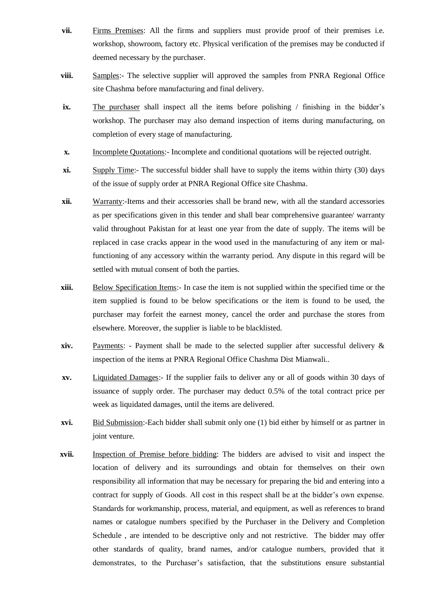- **vii.** Firms Premises: All the firms and suppliers must provide proof of their premises i.e. workshop, showroom, factory etc. Physical verification of the premises may be conducted if deemed necessary by the purchaser.
- **viii.** Samples:- The selective supplier will approved the samples from PNRA Regional Office site Chashma before manufacturing and final delivery.
- **ix.** The purchaser shall inspect all the items before polishing / finishing in the bidder's workshop. The purchaser may also demand inspection of items during manufacturing, on completion of every stage of manufacturing.
- **x.** Incomplete Quotations:- Incomplete and conditional quotations will be rejected outright.
- **xi.** Supply Time:- The successful bidder shall have to supply the items within thirty (30) days of the issue of supply order at PNRA Regional Office site Chashma.
- **xii.** Warranty:-Items and their accessories shall be brand new, with all the standard accessories as per specifications given in this tender and shall bear comprehensive guarantee/ warranty valid throughout Pakistan for at least one year from the date of supply. The items will be replaced in case cracks appear in the wood used in the manufacturing of any item or malfunctioning of any accessory within the warranty period. Any dispute in this regard will be settled with mutual consent of both the parties.
- **xiii.** Below Specification Items:- In case the item is not supplied within the specified time or the item supplied is found to be below specifications or the item is found to be used, the purchaser may forfeit the earnest money, cancel the order and purchase the stores from elsewhere. Moreover, the supplier is liable to be blacklisted.
- **xiv.** Payments: Payment shall be made to the selected supplier after successful delivery & inspection of the items at PNRA Regional Office Chashma Dist Mianwali..
- **xv.** Liquidated Damages:- If the supplier fails to deliver any or all of goods within 30 days of issuance of supply order. The purchaser may deduct 0.5% of the total contract price per week as liquidated damages, until the items are delivered.
- **xvi.** Bid Submission:-Each bidder shall submit only one (1) bid either by himself or as partner in joint venture.
- **xvii.** Inspection of Premise before bidding: The bidders are advised to visit and inspect the location of delivery and its surroundings and obtain for themselves on their own responsibility all information that may be necessary for preparing the bid and entering into a contract for supply of Goods. All cost in this respect shall be at the bidder's own expense. Standards for workmanship, process, material, and equipment, as well as references to brand names or catalogue numbers specified by the Purchaser in the Delivery and Completion Schedule , are intended to be descriptive only and not restrictive. The bidder may offer other standards of quality, brand names, and/or catalogue numbers, provided that it demonstrates, to the Purchaser's satisfaction, that the substitutions ensure substantial